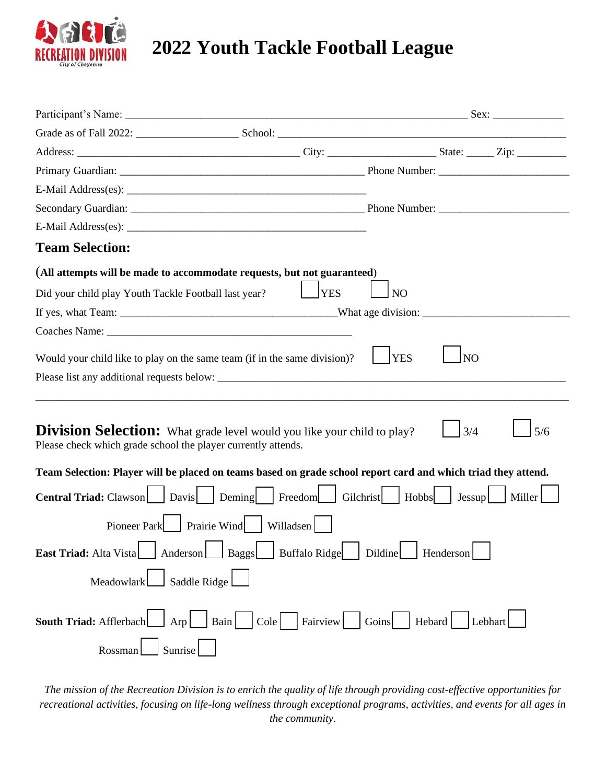

## **2022 Youth Tackle Football League**

| <b>Team Selection:</b>                                                                                                                          |            |                |                 |        |
|-------------------------------------------------------------------------------------------------------------------------------------------------|------------|----------------|-----------------|--------|
| (All attempts will be made to accommodate requests, but not guaranteed)                                                                         |            |                |                 |        |
| Did your child play Youth Tackle Football last year?                                                                                            | <b>YES</b> | N <sub>O</sub> |                 |        |
|                                                                                                                                                 |            |                |                 |        |
|                                                                                                                                                 |            |                |                 |        |
| Would your child like to play on the same team (if in the same division)?                                                                       |            | <b>YES</b>     | NO <sub>1</sub> |        |
|                                                                                                                                                 |            |                |                 |        |
|                                                                                                                                                 |            |                |                 |        |
| <b>Division Selection:</b> What grade level would you like your child to play?<br>Please check which grade school the player currently attends. |            |                | 3/4             | 5/6    |
| Team Selection: Player will be placed on teams based on grade school report card and which triad they attend.                                   |            |                |                 |        |
| <b>Central Triad:</b> Clawson Davis   Deming   Freedom Gilchrist   Hobbs   Jessup                                                               |            |                |                 | Miller |
| Pioneer Park Prairie Wind Willadsen                                                                                                             |            |                |                 |        |
| East Triad: Alta Vista   Anderson   Baggs   Buffalo Ridge   Dildine   Henderson                                                                 |            |                |                 |        |
| Saddle Ridge<br>Meadowlark                                                                                                                      |            |                |                 |        |
| Arp Bain Cole Fairview Goins Hebard Lebhart<br>South Triad: Afflerbach                                                                          |            |                |                 |        |
| Sunrise<br>Rossman                                                                                                                              |            |                |                 |        |

*The mission of the Recreation Division is to enrich the quality of life through providing cost-effective opportunities for recreational activities, focusing on life-long wellness through exceptional programs, activities, and events for all ages in the community.*